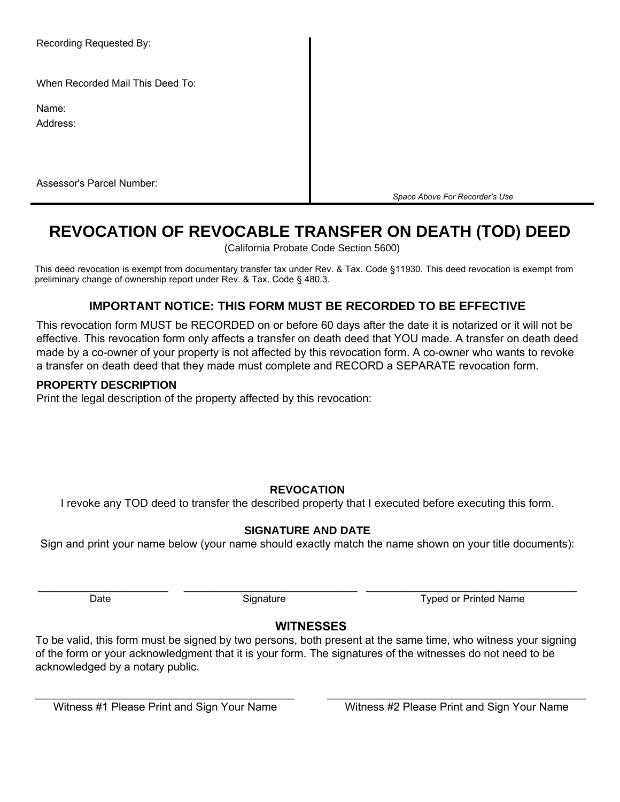Recording Requested By:

When Recorded Mail This Deed To:

Name:

Address:

Assessor's Parcel Number:

*Space Above For Recorder's Use*

# **REVOCATION OF REVOCABLE TRANSFER ON DEATH (TOD) DEED**

(California Probate Code Section 5600)

This deed revocation is exempt from documentary transfer tax under Rev. & Tax. Code §11930. This deed revocation is exempt from preliminary change of ownership report under Rev. & Tax. Code § 480.3.

## **IMPORTANT NOTICE: THIS FORM MUST BE RECORDED TO BE EFFECTIVE**

This revocation form MUST be RECORDED on or before 60 days after the date it is notarized or it will not be effective. This revocation form only affects a transfer on death deed that YOU made. A transfer on death deed made by a co-owner of your property is not affected by this revocation form. A co-owner who wants to revoke a transfer on death deed that they made must complete and RECORD a SEPARATE revocation form.

#### **PROPERTY DESCRIPTION**

Print the legal description of the property affected by this revocation:

#### **REVOCATION**

I revoke any TOD deed to transfer the described property that I executed before executing this form.

### **SIGNATURE AND DATE**

Sign and print your name below (your name should exactly match the name shown on your title documents):

\_\_\_\_\_\_\_\_\_\_\_\_\_\_\_\_\_\_\_\_\_ \_\_\_\_\_\_\_\_\_\_\_\_\_\_\_\_\_\_\_\_\_\_\_\_\_\_\_\_ \_\_\_\_\_\_\_\_\_\_\_\_\_\_\_\_\_\_\_\_\_\_\_\_\_\_\_\_\_\_\_\_\_\_

Date **Signature** Signature Typed or Printed Name

### **WITNESSES**

To be valid, this form must be signed by two persons, both present at the same time, who witness your signing of the form or your acknowledgment that it is your form. The signatures of the witnesses do not need to be acknowledged by a notary public.

\_\_\_\_\_\_\_\_\_\_\_\_\_\_\_\_\_\_\_\_\_\_\_\_\_\_\_\_\_\_\_\_\_\_\_\_\_\_\_\_\_\_ \_\_\_\_\_\_\_\_\_\_\_\_\_\_\_\_\_\_\_\_\_\_\_\_\_\_\_\_\_\_\_\_\_\_\_\_\_\_\_\_\_\_

Witness #1 Please Print and Sign Your Name Witness #2 Please Print and Sign Your Name